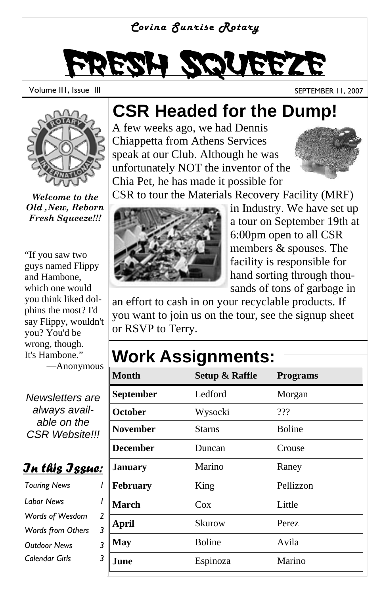#### *Covina Sunrise Rotary*

# Fresh Squeeze

Volume III, Issue III September 11, 2007



*Welcome to the Old ,New, Reborn Fresh Squeeze!!!*

"If you saw two guys named Flippy and Hambone, which one would you think liked dolphins the most? I'd say Flippy, wouldn't you? You'd be wrong, though. It's Hambone."

—Anonymous

*Newsletters are always available on the CSR Website!!!* 

*In this Issue:*

*Touring News Words of Wesdom 2 Words from Others 3 Outdoor News 3 Calendar Girls 3 Labor News 1* 

### **CSR Headed for the Dump!**

A few weeks ago, we had Dennis Chiappetta from Athens Services speak at our Club. Although he was unfortunately NOT the inventor of the Chia Pet, he has made it possible for



CSR to tour the Materials Recovery Facility (MRF)



in Industry. We have set up a tour on September 19th at 6:00pm open to all CSR members & spouses. The facility is responsible for hand sorting through thousands of tons of garbage in

an effort to cash in on your recyclable products. If you want to join us on the tour, see the signup sheet or RSVP to Terry.

### **Work Assignments:**

| <b>Month</b>    | <b>Setup &amp; Raffle</b> | <b>Programs</b> |
|-----------------|---------------------------|-----------------|
| September       | Ledford                   | Morgan          |
| October         | Wysocki                   | ???             |
| <b>November</b> | Starns                    | Boline          |
| <b>December</b> | Duncan                    | Crouse          |
| <b>January</b>  | Marino                    | Raney           |
| February        | King                      | Pellizzon       |
| <b>March</b>    | Cox                       | Little          |
| <b>April</b>    | Skurow                    | Perez           |
| May             | Boline                    | Avila           |
| June            | Espinoza                  | Marino          |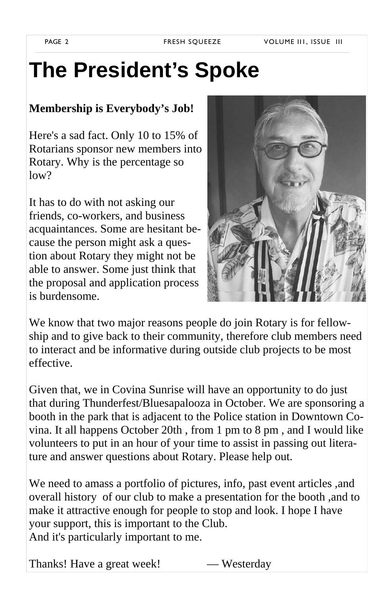## **The President's Spoke**

#### **Membership is Everybody's Job!**

Here's a sad fact. Only 10 to 15% of Rotarians sponsor new members into Rotary. Why is the percentage so  $low?$ 

It has to do with not asking our friends, co-workers, and business acquaintances. Some are hesitant because the person might ask a question about Rotary they might not be able to answer. Some just think that the proposal and application process is burdensome.



We know that two major reasons people do join Rotary is for fellowship and to give back to their community, therefore club members need to interact and be informative during outside club projects to be most effective.

Given that, we in Covina Sunrise will have an opportunity to do just that during Thunderfest/Bluesapalooza in October. We are sponsoring a booth in the park that is adjacent to the Police station in Downtown Covina. It all happens October 20th , from 1 pm to 8 pm , and I would like volunteers to put in an hour of your time to assist in passing out literature and answer questions about Rotary. Please help out.

We need to amass a portfolio of pictures, info, past event articles ,and overall history of our club to make a presentation for the booth ,and to make it attractive enough for people to stop and look. I hope I have your support, this is important to the Club. And it's particularly important to me.

Thanks! Have a great week! — Westerday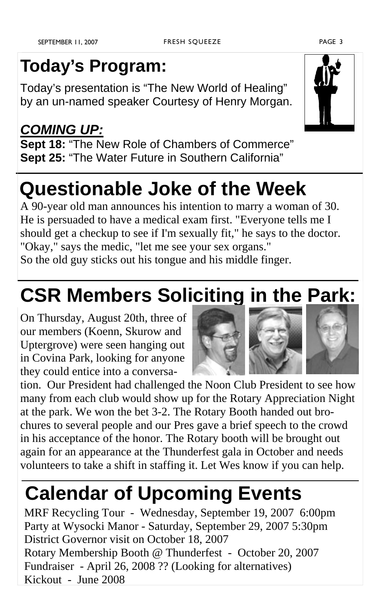### **Today's Program:**

Today's presentation is "The New World of Healing" by an un-named speaker Courtesy of Henry Morgan.

#### *COMING UP:* **Sept 18:** "The New Role of Chambers of Commerce" **Sept 25:** "The Water Future in Southern California"

### **Questionable Joke of the Week**

A 90-year old man announces his intention to marry a woman of 30. He is persuaded to have a medical exam first. "Everyone tells me I should get a checkup to see if I'm sexually fit," he says to the doctor. "Okay," says the medic, "let me see your sex organs."

So the old guy sticks out his tongue and his middle finger.

# **CSR Members Soliciting in the Park:**

On Thursday, August 20th, three of our members (Koenn, Skurow and Uptergrove) were seen hanging out in Covina Park, looking for anyone they could entice into a conversa-

tion. Our President had challenged the Noon Club President to see how many from each club would show up for the Rotary Appreciation Night at the park. We won the bet 3-2. The Rotary Booth handed out brochures to several people and our Pres gave a brief speech to the crowd in his acceptance of the honor. The Rotary booth will be brought out again for an appearance at the Thunderfest gala in October and needs volunteers to take a shift in staffing it. Let Wes know if you can help.

# **Calendar of Upcoming Events**

MRF Recycling Tour - Wednesday, September 19, 2007 6:00pm Party at Wysocki Manor - Saturday, September 29, 2007 5:30pm District Governor visit on October 18, 2007 Rotary Membership Booth @ Thunderfest - October 20, 2007 Fundraiser - April 26, 2008 ?? (Looking for alternatives) Kickout - June 2008

#### FRESH SQUEEZE PAGE 3